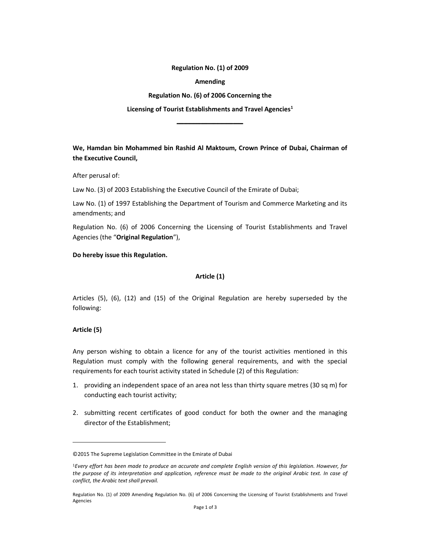Regulation No. (1) of 2009

Amending

Regulation No. (6) of 2006 Concerning the

Licensing of Tourist Establishments and Travel Agencies<sup>1</sup>

ـــــــــــــــــــــــــــــــــــــــــــــــ

We, Hamdan bin Mohammed bin Rashid Al Maktoum, Crown Prince of Dubai, Chairman of the Executive Council,

After perusal of:

Law No. (3) of 2003 Establishing the Executive Council of the Emirate of Dubai;

Law No. (1) of 1997 Establishing the Department of Tourism and Commerce Marketing and its amendments; and

Regulation No. (6) of 2006 Concerning the Licensing of Tourist Establishments and Travel Agencies (the "Original Regulation"),

#### Do hereby issue this Regulation.

### Article (1)

Articles (5), (6), (12) and (15) of the Original Regulation are hereby superseded by the following:

### Article (5)

Any person wishing to obtain a licence for any of the tourist activities mentioned in this Regulation must comply with the following general requirements, and with the special requirements for each tourist activity stated in Schedule (2) of this Regulation:

- 1. providing an independent space of an area not less than thirty square metres (30 sq m) for conducting each tourist activity;
- 2. submitting recent certificates of good conduct for both the owner and the managing director of the Establishment;

<sup>©2015</sup> The Supreme Legislation Committee in the Emirate of Dubai

<sup>1</sup>Every effort has been made to produce an accurate and complete English version of this legislation. However, for the purpose of its interpretation and application, reference must be made to the original Arabic text. In case of conflict, the Arabic text shall prevail.

Regulation No. (1) of 2009 Amending Regulation No. (6) of 2006 Concerning the Licensing of Tourist Establishments and Travel Agencies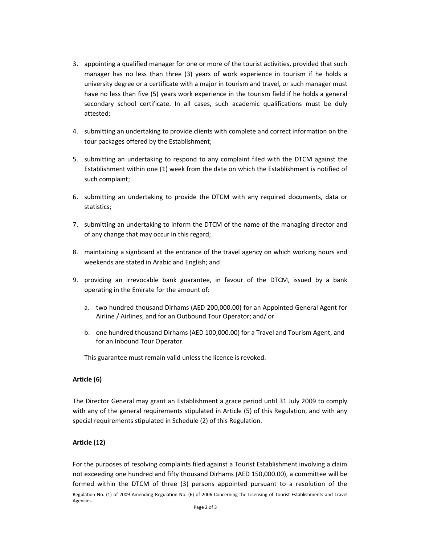- 3. appointing a qualified manager for one or more of the tourist activities, provided that such manager has no less than three (3) years of work experience in tourism if he holds a university degree or a certificate with a major in tourism and travel, or such manager must have no less than five (5) years work experience in the tourism field if he holds a general secondary school certificate. In all cases, such academic qualifications must be duly attested;
- 4. submitting an undertaking to provide clients with complete and correct information on the tour packages offered by the Establishment;
- 5. submitting an undertaking to respond to any complaint filed with the DTCM against the Establishment within one (1) week from the date on which the Establishment is notified of such complaint;
- 6. submitting an undertaking to provide the DTCM with any required documents, data or statistics;
- 7. submitting an undertaking to inform the DTCM of the name of the managing director and of any change that may occur in this regard;
- 8. maintaining a signboard at the entrance of the travel agency on which working hours and weekends are stated in Arabic and English; and
- 9. providing an irrevocable bank guarantee, in favour of the DTCM, issued by a bank operating in the Emirate for the amount of:
	- a. two hundred thousand Dirhams (AED 200,000.00) for an Appointed General Agent for Airline / Airlines, and for an Outbound Tour Operator; and/ or
	- b. one hundred thousand Dirhams (AED 100,000.00) for a Travel and Tourism Agent, and for an Inbound Tour Operator.

This guarantee must remain valid unless the licence is revoked.

# Article (6)

The Director General may grant an Establishment a grace period until 31 July 2009 to comply with any of the general requirements stipulated in Article (5) of this Regulation, and with any special requirements stipulated in Schedule (2) of this Regulation.

### Article (12)

Regulation No. (1) of 2009 Amending Regulation No. (6) of 2006 Concerning the Licensing of Tourist Establishments and Travel Agencies For the purposes of resolving complaints filed against a Tourist Establishment involving a claim not exceeding one hundred and fifty thousand Dirhams (AED 150,000.00), a committee will be formed within the DTCM of three (3) persons appointed pursuant to a resolution of the